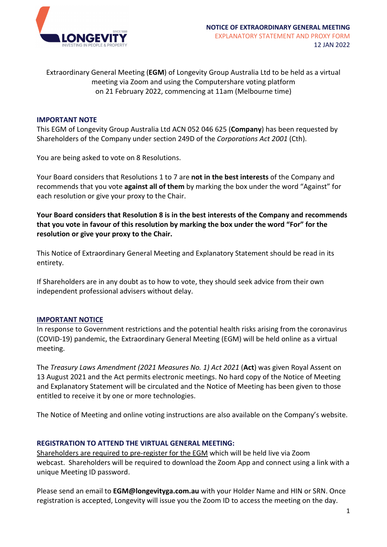

Extraordinary General Meeting (**EGM**) of Longevity Group Australia Ltd to be held as a virtual meeting via Zoom and using the Computershare voting platform on 21 February 2022, commencing at 11am (Melbourne time)

### **IMPORTANT NOTE**

This EGM of Longevity Group Australia Ltd ACN 052 046 625 (**Company**) has been requested by Shareholders of the Company under section 249D of the *Corporations Act 2001* (Cth).

You are being asked to vote on 8 Resolutions.

Your Board considers that Resolutions 1 to 7 are **not in the best interests** of the Company and recommends that you vote **against all of them** by marking the box under the word "Against" for each resolution or give your proxy to the Chair.

**Your Board considers that Resolution 8 is in the best interests of the Company and recommends that you vote in favour of this resolution by marking the box under the word "For" for the resolution or give your proxy to the Chair.**

This Notice of Extraordinary General Meeting and Explanatory Statement should be read in its entirety.

If Shareholders are in any doubt as to how to vote, they should seek advice from their own independent professional advisers without delay.

#### **IMPORTANT NOTICE**

In response to Government restrictions and the potential health risks arising from the coronavirus (COVID-19) pandemic, the Extraordinary General Meeting (EGM) will be held online as a virtual meeting.

The *Treasury Laws Amendment (2021 Measures No. 1) Act 2021* (**Act**) was given Royal Assent on 13 August 2021 and the Act permits electronic meetings. No hard copy of the Notice of Meeting and Explanatory Statement will be circulated and the Notice of Meeting has been given to those entitled to receive it by one or more technologies.

The Notice of Meeting and online voting instructions are also available on the Company's website.

#### **REGISTRATION TO ATTEND THE VIRTUAL GENERAL MEETING:**

Shareholders are required to pre-register for the EGM which will be held live via Zoom webcast. Shareholders will be required to download the Zoom App and connect using a link with a unique Meeting ID password.

Please send an email to **EGM@longevityga.com.au** with your Holder Name and HIN or SRN. Once registration is accepted, Longevity will issue you the Zoom ID to access the meeting on the day.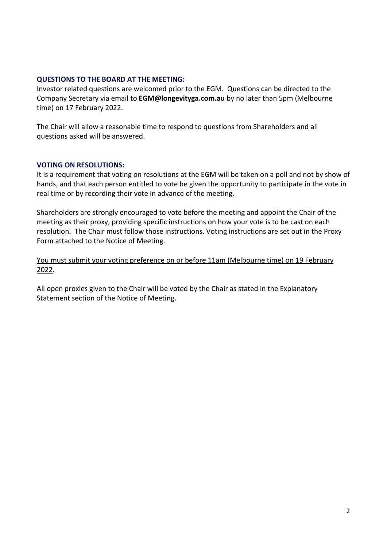## **QUESTIONS TO THE BOARD AT THE MEETING:**

Investor related questions are welcomed prior to the EGM. Questions can be directed to the Company Secretary via email to **EGM@longevityga.com.au** by no later than 5pm (Melbourne time) on 17 February 2022.

The Chair will allow a reasonable time to respond to questions from Shareholders and all questions asked will be answered.

## **VOTING ON RESOLUTIONS:**

It is a requirement that voting on resolutions at the EGM will be taken on a poll and not by show of hands, and that each person entitled to vote be given the opportunity to participate in the vote in real time or by recording their vote in advance of the meeting.

Shareholders are strongly encouraged to vote before the meeting and appoint the Chair of the meeting as their proxy, providing specific instructions on how your vote is to be cast on each resolution. The Chair must follow those instructions. Voting instructions are set out in the Proxy Form attached to the Notice of Meeting.

You must submit your voting preference on or before 11am (Melbourne time) on 19 February 2022.

All open proxies given to the Chair will be voted by the Chair as stated in the Explanatory Statement section of the Notice of Meeting.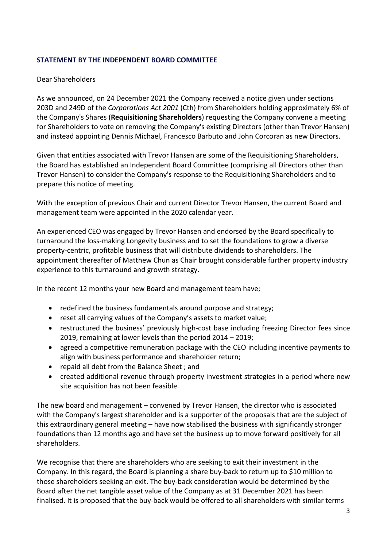## **STATEMENT BY THE INDEPENDENT BOARD COMMITTEE**

## Dear Shareholders

As we announced, on 24 December 2021 the Company received a notice given under sections 203D and 249D of the *Corporations Act 2001* (Cth) from Shareholders holding approximately 6% of the Company's Shares (**Requisitioning Shareholders**) requesting the Company convene a meeting for Shareholders to vote on removing the Company's existing Directors (other than Trevor Hansen) and instead appointing Dennis Michael, Francesco Barbuto and John Corcoran as new Directors.

Given that entities associated with Trevor Hansen are some of the Requisitioning Shareholders, the Board has established an Independent Board Committee (comprising all Directors other than Trevor Hansen) to consider the Company's response to the Requisitioning Shareholders and to prepare this notice of meeting.

With the exception of previous Chair and current Director Trevor Hansen, the current Board and management team were appointed in the 2020 calendar year.

An experienced CEO was engaged by Trevor Hansen and endorsed by the Board specifically to turnaround the loss-making Longevity business and to set the foundations to grow a diverse property-centric, profitable business that will distribute dividends to shareholders. The appointment thereafter of Matthew Chun as Chair brought considerable further property industry experience to this turnaround and growth strategy.

In the recent 12 months your new Board and management team have;

- redefined the business fundamentals around purpose and strategy;
- reset all carrying values of the Company's assets to market value;
- restructured the business' previously high-cost base including freezing Director fees since 2019, remaining at lower levels than the period 2014 – 2019;
- agreed a competitive remuneration package with the CEO including incentive payments to align with business performance and shareholder return;
- repaid all debt from the Balance Sheet ; and
- created additional revenue through property investment strategies in a period where new site acquisition has not been feasible.

The new board and management – convened by Trevor Hansen, the director who is associated with the Company's largest shareholder and is a supporter of the proposals that are the subject of this extraordinary general meeting – have now stabilised the business with significantly stronger foundations than 12 months ago and have set the business up to move forward positively for all shareholders.

We recognise that there are shareholders who are seeking to exit their investment in the Company. In this regard, the Board is planning a share buy-back to return up to \$10 million to those shareholders seeking an exit. The buy-back consideration would be determined by the Board after the net tangible asset value of the Company as at 31 December 2021 has been finalised. It is proposed that the buy-back would be offered to all shareholders with similar terms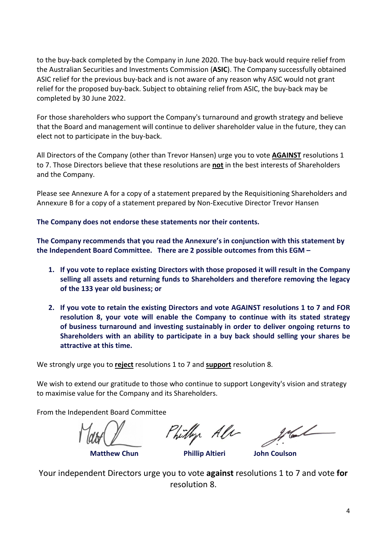to the buy-back completed by the Company in June 2020. The buy-back would require relief from the Australian Securities and Investments Commission (**ASIC**). The Company successfully obtained ASIC relief for the previous buy-back and is not aware of any reason why ASIC would not grant relief for the proposed buy-back. Subject to obtaining relief from ASIC, the buy-back may be completed by 30 June 2022.

For those shareholders who support the Company's turnaround and growth strategy and believe that the Board and management will continue to deliver shareholder value in the future, they can elect not to participate in the buy-back.

All Directors of the Company (other than Trevor Hansen) urge you to vote **AGAINST** resolutions 1 to 7. Those Directors believe that these resolutions are **not** in the best interests of Shareholders and the Company.

Please see Annexure A for a copy of a statement prepared by the Requisitioning Shareholders and Annexure B for a copy of a statement prepared by Non-Executive Director Trevor Hansen

**The Company does not endorse these statements nor their contents.**

**The Company recommends that you read the Annexure's in conjunction with this statement by the Independent Board Committee. There are 2 possible outcomes from this EGM –**

- **1. If you vote to replace existing Directors with those proposed it will result in the Company selling all assets and returning funds to Shareholders and therefore removing the legacy of the 133 year old business; or**
- **2. If you vote to retain the existing Directors and vote AGAINST resolutions 1 to 7 and FOR resolution 8, your vote will enable the Company to continue with its stated strategy of business turnaround and investing sustainably in order to deliver ongoing returns to Shareholders with an ability to participate in a buy back should selling your shares be attractive at this time.**

We strongly urge you to **reject** resolutions 1 to 7 and **support** resolution 8.

We wish to extend our gratitude to those who continue to support Longevity's vision and strategy to maximise value for the Company and its Shareholders.

From the Independent Board Committee

Philly Ale

 **Matthew Chun Phillip Altieri John Coulson**

Your independent Directors urge you to vote **against** resolutions 1 to 7 and vote **for** resolution 8.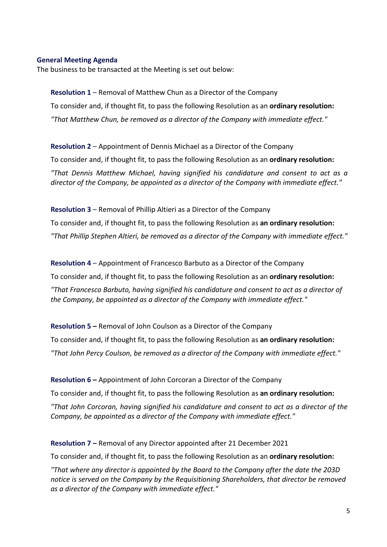### **General Meeting Agenda**

The business to be transacted at the Meeting is set out below:

**Resolution 1** – Removal of Matthew Chun as a Director of the Company To consider and, if thought fit, to pass the following Resolution as an **ordinary resolution:** *"That Matthew Chun, be removed as a director of the Company with immediate effect."*

**Resolution 2** – Appointment of Dennis Michael as a Director of the Company To consider and, if thought fit, to pass the following Resolution as an **ordinary resolution:** *"That Dennis Matthew Michael, having signified his candidature and consent to act as a director of the Company, be appointed as a director of the Company with immediate effect."*

**Resolution 3** – Removal of Phillip Altieri as a Director of the Company To consider and, if thought fit, to pass the following Resolution as **an ordinary resolution:** *"That Phillip Stephen Altieri, be removed as a director of the Company with immediate effect."*

**Resolution 4** – Appointment of Francesco Barbuto as a Director of the Company To consider and, if thought fit, to pass the following Resolution as an **ordinary resolution:** *"That Francesco Barbuto, having signified his candidature and consent to act as a director of the Company, be appointed as a director of the Company with immediate effect."*

**Resolution 5 –** Removal of John Coulson as a Director of the Company To consider and, if thought fit, to pass the following Resolution as **an ordinary resolution:** *"That John Percy Coulson, be removed as a director of the Company with immediate effect."*

**Resolution 6 –** Appointment of John Corcoran a Director of the Company

To consider and, if thought fit, to pass the following Resolution as **an ordinary resolution:** *"That John Corcoran, having signified his candidature and consent to act as a director of the Company, be appointed as a director of the Company with immediate effect."*

**Resolution 7 –** Removal of any Director appointed after 21 December 2021

To consider and, if thought fit, to pass the following Resolution as an **ordinary resolution:**

*"That where any director is appointed by the Board to the Company after the date the 203D notice is served on the Company by the Requisitioning Shareholders, that director be removed as a director of the Company with immediate effect."*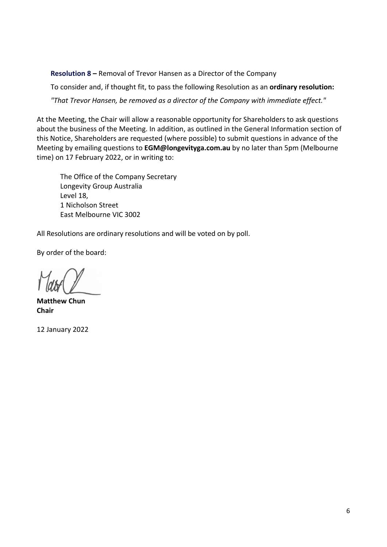**Resolution 8 –** Removal of Trevor Hansen as a Director of the Company

To consider and, if thought fit, to pass the following Resolution as an **ordinary resolution:** *"That Trevor Hansen, be removed as a director of the Company with immediate effect."*

At the Meeting, the Chair will allow a reasonable opportunity for Shareholders to ask questions about the business of the Meeting. In addition, as outlined in the General Information section of this Notice, Shareholders are requested (where possible) to submit questions in advance of the Meeting by emailing questions to **EGM@longevityga.com.au** by no later than 5pm (Melbourne time) on 17 February 2022, or in writing to:

The Office of the Company Secretary Longevity Group Australia Level 18, 1 Nicholson Street East Melbourne VIC 3002

All Resolutions are ordinary resolutions and will be voted on by poll.

By order of the board:

**Matthew Chun Chair**

12 January 2022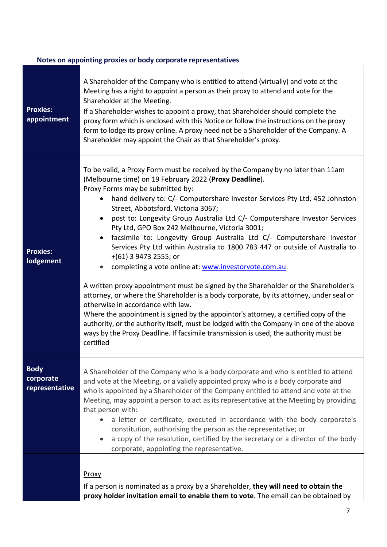# **Notes on appointing proxies or body corporate representatives**

| <b>Proxies:</b><br>appointment             | A Shareholder of the Company who is entitled to attend (virtually) and vote at the<br>Meeting has a right to appoint a person as their proxy to attend and vote for the<br>Shareholder at the Meeting.<br>If a Shareholder wishes to appoint a proxy, that Shareholder should complete the<br>proxy form which is enclosed with this Notice or follow the instructions on the proxy<br>form to lodge its proxy online. A proxy need not be a Shareholder of the Company. A<br>Shareholder may appoint the Chair as that Shareholder's proxy.                                                                                                                                                                                                                                                                                                                                                                                                                                                                                                                                                                                                                                                                              |
|--------------------------------------------|---------------------------------------------------------------------------------------------------------------------------------------------------------------------------------------------------------------------------------------------------------------------------------------------------------------------------------------------------------------------------------------------------------------------------------------------------------------------------------------------------------------------------------------------------------------------------------------------------------------------------------------------------------------------------------------------------------------------------------------------------------------------------------------------------------------------------------------------------------------------------------------------------------------------------------------------------------------------------------------------------------------------------------------------------------------------------------------------------------------------------------------------------------------------------------------------------------------------------|
| <b>Proxies:</b><br><b>lodgement</b>        | To be valid, a Proxy Form must be received by the Company by no later than 11am<br>(Melbourne time) on 19 February 2022 (Proxy Deadline).<br>Proxy Forms may be submitted by:<br>hand delivery to: C/- Computershare Investor Services Pty Ltd, 452 Johnston<br>$\bullet$<br>Street, Abbotsford, Victoria 3067;<br>post to: Longevity Group Australia Ltd C/- Computershare Investor Services<br>$\bullet$<br>Pty Ltd, GPO Box 242 Melbourne, Victoria 3001;<br>• facsimile to: Longevity Group Australia Ltd C/- Computershare Investor<br>Services Pty Ltd within Australia to 1800 783 447 or outside of Australia to<br>$+(61)$ 3 9473 2555; or<br>completing a vote online at: www.investorvote.com.au.<br>A written proxy appointment must be signed by the Shareholder or the Shareholder's<br>attorney, or where the Shareholder is a body corporate, by its attorney, under seal or<br>otherwise in accordance with law.<br>Where the appointment is signed by the appointor's attorney, a certified copy of the<br>authority, or the authority itself, must be lodged with the Company in one of the above<br>ways by the Proxy Deadline. If facsimile transmission is used, the authority must be<br>certified |
| <b>Body</b><br>corporate<br>representative | A Shareholder of the Company who is a body corporate and who is entitled to attend<br>and vote at the Meeting, or a validly appointed proxy who is a body corporate and<br>who is appointed by a Shareholder of the Company entitled to attend and vote at the<br>Meeting, may appoint a person to act as its representative at the Meeting by providing<br>that person with:<br>a letter or certificate, executed in accordance with the body corporate's<br>constitution, authorising the person as the representative; or<br>a copy of the resolution, certified by the secretary or a director of the body<br>corporate, appointing the representative.                                                                                                                                                                                                                                                                                                                                                                                                                                                                                                                                                               |
|                                            | Proxy<br>If a person is nominated as a proxy by a Shareholder, they will need to obtain the<br>proxy holder invitation email to enable them to vote. The email can be obtained by                                                                                                                                                                                                                                                                                                                                                                                                                                                                                                                                                                                                                                                                                                                                                                                                                                                                                                                                                                                                                                         |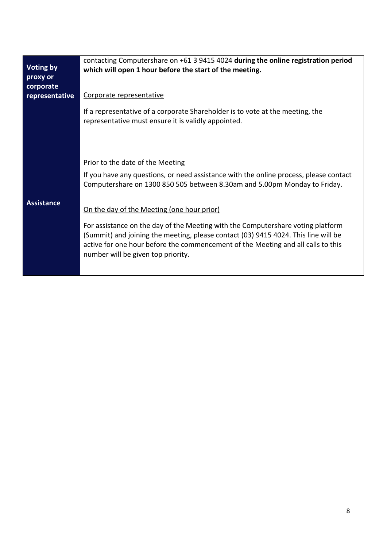| Voting by<br>proxy or<br>corporate<br>representative | contacting Computershare on +61 3 9415 4024 during the online registration period<br>which will open 1 hour before the start of the meeting.<br>Corporate representative<br>If a representative of a corporate Shareholder is to vote at the meeting, the<br>representative must ensure it is validly appointed.                                                                                                                                                                                                                                        |
|------------------------------------------------------|---------------------------------------------------------------------------------------------------------------------------------------------------------------------------------------------------------------------------------------------------------------------------------------------------------------------------------------------------------------------------------------------------------------------------------------------------------------------------------------------------------------------------------------------------------|
| <b>Assistance</b>                                    | Prior to the date of the Meeting<br>If you have any questions, or need assistance with the online process, please contact<br>Computershare on 1300 850 505 between 8.30am and 5.00pm Monday to Friday.<br>On the day of the Meeting (one hour prior)<br>For assistance on the day of the Meeting with the Computershare voting platform<br>(Summit) and joining the meeting, please contact (03) 9415 4024. This line will be<br>active for one hour before the commencement of the Meeting and all calls to this<br>number will be given top priority. |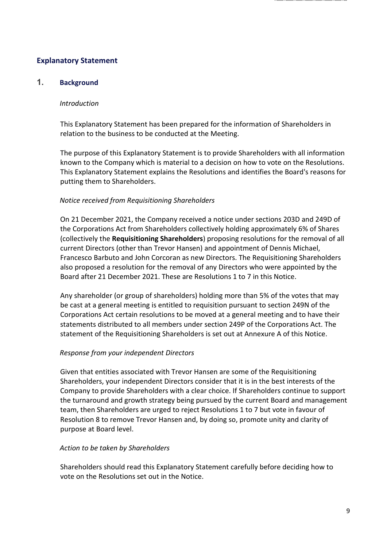# **Explanatory Statement**

# **1. Background**

### *Introduction*

This Explanatory Statement has been prepared for the information of Shareholders in relation to the business to be conducted at the Meeting.

The purpose of this Explanatory Statement is to provide Shareholders with all information known to the Company which is material to a decision on how to vote on the Resolutions. This Explanatory Statement explains the Resolutions and identifies the Board's reasons for putting them to Shareholders.

## *Notice received from Requisitioning Shareholders*

On 21 December 2021, the Company received a notice under sections 203D and 249D of the Corporations Act from Shareholders collectively holding approximately 6% of Shares (collectively the **Requisitioning Shareholders**) proposing resolutions for the removal of all current Directors (other than Trevor Hansen) and appointment of Dennis Michael, Francesco Barbuto and John Corcoran as new Directors. The Requisitioning Shareholders also proposed a resolution for the removal of any Directors who were appointed by the Board after 21 December 2021. These are Resolutions 1 to 7 in this Notice.

Any shareholder (or group of shareholders) holding more than 5% of the votes that may be cast at a general meeting is entitled to requisition pursuant to section 249N of the Corporations Act certain resolutions to be moved at a general meeting and to have their statements distributed to all members under section 249P of the Corporations Act. The statement of the Requisitioning Shareholders is set out at Annexure A of this Notice.

## *Response from your independent Directors*

Given that entities associated with Trevor Hansen are some of the Requisitioning Shareholders, your independent Directors consider that it is in the best interests of the Company to provide Shareholders with a clear choice. If Shareholders continue to support the turnaround and growth strategy being pursued by the current Board and management team, then Shareholders are urged to reject Resolutions 1 to 7 but vote in favour of Resolution 8 to remove Trevor Hansen and, by doing so, promote unity and clarity of purpose at Board level.

## *Action to be taken by Shareholders*

Shareholders should read this Explanatory Statement carefully before deciding how to vote on the Resolutions set out in the Notice.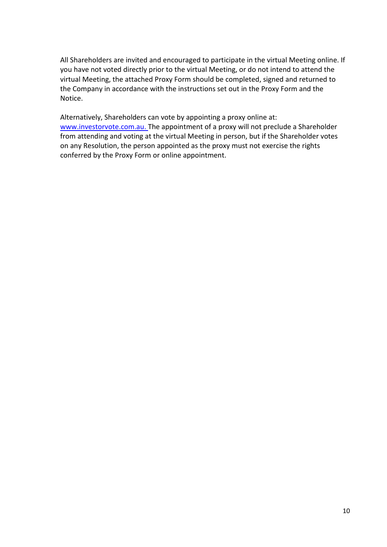All Shareholders are invited and encouraged to participate in the virtual Meeting online. If you have not voted directly prior to the virtual Meeting, or do not intend to attend the virtual Meeting, the attached Proxy Form should be completed, signed and returned to the Company in accordance with the instructions set out in the Proxy Form and the Notice.

Alternatively, Shareholders can vote by appointing a proxy online at: [www.investorvote.com.au.](http://www.investorvote.com.au/) The appointment of a proxy will not preclude a Shareholder from attending and voting at the virtual Meeting in person, but if the Shareholder votes on any Resolution, the person appointed as the proxy must not exercise the rights conferred by the Proxy Form or online appointment.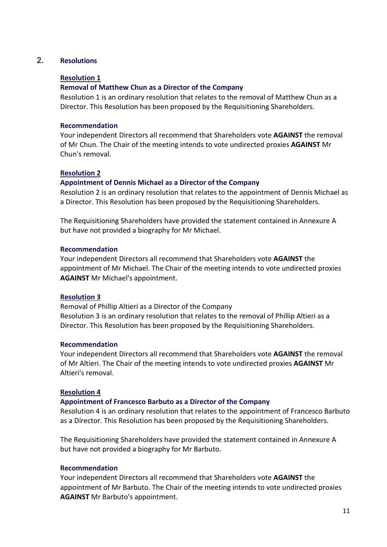# **2. Resolutions**

## **Resolution 1**

## **Removal of Matthew Chun as a Director of the Company**

Resolution 1 is an ordinary resolution that relates to the removal of Matthew Chun as a Director. This Resolution has been proposed by the Requisitioning Shareholders.

## **Recommendation**

Your independent Directors all recommend that Shareholders vote **AGAINST** the removal of Mr Chun. The Chair of the meeting intends to vote undirected proxies **AGAINST** Mr Chun's removal.

## **Resolution 2**

## **Appointment of Dennis Michael as a Director of the Company**

Resolution 2 is an ordinary resolution that relates to the appointment of Dennis Michael as a Director. This Resolution has been proposed by the Requisitioning Shareholders.

The Requisitioning Shareholders have provided the statement contained in Annexure A but have not provided a biography for Mr Michael.

## **Recommendation**

Your independent Directors all recommend that Shareholders vote **AGAINST** the appointment of Mr Michael. The Chair of the meeting intends to vote undirected proxies **AGAINST** Mr Michael's appointment.

## **Resolution 3**

Removal of Phillip Altieri as a Director of the Company Resolution 3 is an ordinary resolution that relates to the removal of Phillip Altieri as a Director. This Resolution has been proposed by the Requisitioning Shareholders.

## **Recommendation**

Your independent Directors all recommend that Shareholders vote **AGAINST** the removal of Mr Altieri. The Chair of the meeting intends to vote undirected proxies **AGAINST** Mr Altieri's removal.

## **Resolution 4**

## **Appointment of Francesco Barbuto as a Director of the Company**

Resolution 4 is an ordinary resolution that relates to the appointment of Francesco Barbuto as a Director. This Resolution has been proposed by the Requisitioning Shareholders.

The Requisitioning Shareholders have provided the statement contained in Annexure A but have not provided a biography for Mr Barbuto.

## **Recommendation**

Your independent Directors all recommend that Shareholders vote **AGAINST** the appointment of Mr Barbuto. The Chair of the meeting intends to vote undirected proxies **AGAINST** Mr Barbuto's appointment.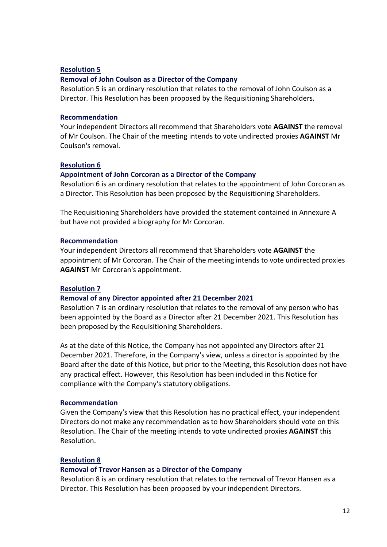### **Resolution 5**

### **Removal of John Coulson as a Director of the Company**

Resolution 5 is an ordinary resolution that relates to the removal of John Coulson as a Director. This Resolution has been proposed by the Requisitioning Shareholders.

#### **Recommendation**

Your independent Directors all recommend that Shareholders vote **AGAINST** the removal of Mr Coulson. The Chair of the meeting intends to vote undirected proxies **AGAINST** Mr Coulson's removal.

#### **Resolution 6**

#### **Appointment of John Corcoran as a Director of the Company**

Resolution 6 is an ordinary resolution that relates to the appointment of John Corcoran as a Director. This Resolution has been proposed by the Requisitioning Shareholders.

The Requisitioning Shareholders have provided the statement contained in Annexure A but have not provided a biography for Mr Corcoran.

#### **Recommendation**

Your independent Directors all recommend that Shareholders vote **AGAINST** the appointment of Mr Corcoran. The Chair of the meeting intends to vote undirected proxies **AGAINST** Mr Corcoran's appointment.

#### **Resolution 7**

#### **Removal of any Director appointed after 21 December 2021**

Resolution 7 is an ordinary resolution that relates to the removal of any person who has been appointed by the Board as a Director after 21 December 2021. This Resolution has been proposed by the Requisitioning Shareholders.

As at the date of this Notice, the Company has not appointed any Directors after 21 December 2021. Therefore, in the Company's view, unless a director is appointed by the Board after the date of this Notice, but prior to the Meeting, this Resolution does not have any practical effect. However, this Resolution has been included in this Notice for compliance with the Company's statutory obligations.

#### **Recommendation**

Given the Company's view that this Resolution has no practical effect, your independent Directors do not make any recommendation as to how Shareholders should vote on this Resolution. The Chair of the meeting intends to vote undirected proxies **AGAINST** this Resolution.

#### **Resolution 8**

#### **Removal of Trevor Hansen as a Director of the Company**

Resolution 8 is an ordinary resolution that relates to the removal of Trevor Hansen as a Director. This Resolution has been proposed by your independent Directors.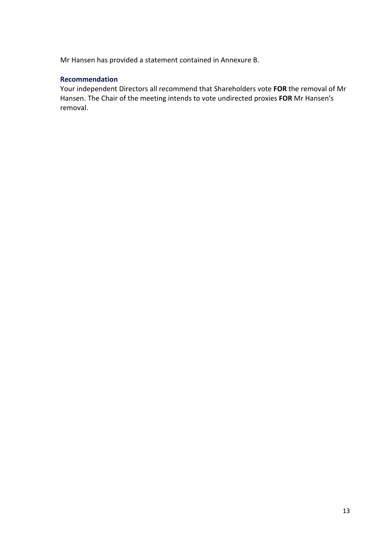Mr Hansen has provided a statement contained in Annexure B.

## **Recommendation**

Your independent Directors all recommend that Shareholders vote **FOR** the removal of Mr Hansen. The Chair of the meeting intends to vote undirected proxies **FOR** Mr Hansen's removal.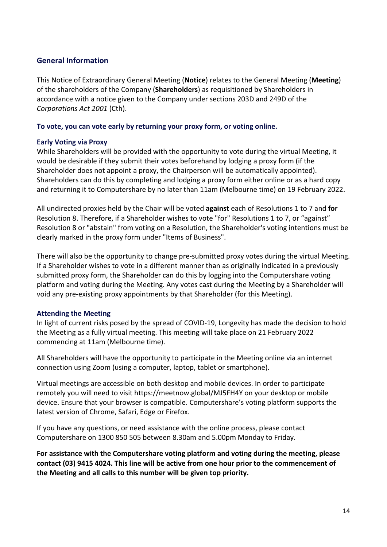# **General Information**

This Notice of Extraordinary General Meeting (**Notice**) relates to the General Meeting (**Meeting**) of the shareholders of the Company (**Shareholders**) as requisitioned by Shareholders in accordance with a notice given to the Company under sections 203D and 249D of the *Corporations Act 2001* (Cth).

## **To vote, you can vote early by returning your proxy form, or voting online.**

## **Early Voting via Proxy**

While Shareholders will be provided with the opportunity to vote during the virtual Meeting, it would be desirable if they submit their votes beforehand by lodging a proxy form (if the Shareholder does not appoint a proxy, the Chairperson will be automatically appointed). Shareholders can do this by completing and lodging a proxy form either online or as a hard copy and returning it to Computershare by no later than 11am (Melbourne time) on 19 February 2022.

All undirected proxies held by the Chair will be voted **against** each of Resolutions 1 to 7 and **for** Resolution 8. Therefore, if a Shareholder wishes to vote "for" Resolutions 1 to 7, or "against" Resolution 8 or "abstain" from voting on a Resolution, the Shareholder's voting intentions must be clearly marked in the proxy form under "Items of Business".

There will also be the opportunity to change pre-submitted proxy votes during the virtual Meeting. If a Shareholder wishes to vote in a different manner than as originally indicated in a previously submitted proxy form, the Shareholder can do this by logging into the Computershare voting platform and voting during the Meeting. Any votes cast during the Meeting by a Shareholder will void any pre-existing proxy appointments by that Shareholder (for this Meeting).

# **Attending the Meeting**

In light of current risks posed by the spread of COVID-19, Longevity has made the decision to hold the Meeting as a fully virtual meeting. This meeting will take place on 21 February 2022 commencing at 11am (Melbourne time).

All Shareholders will have the opportunity to participate in the Meeting online via an internet connection using Zoom (using a computer, laptop, tablet or smartphone).

Virtual meetings are accessible on both desktop and mobile devices. In order to participate remotely you will need to visit https://meetnow.global/MJ5FH4Y on your desktop or mobile device. Ensure that your browser is compatible. Computershare's voting platform supports the latest version of Chrome, Safari, Edge or Firefox.

If you have any questions, or need assistance with the online process, please contact Computershare on 1300 850 505 between 8.30am and 5.00pm Monday to Friday.

**For assistance with the Computershare voting platform and voting during the meeting, please contact (03) 9415 4024. This line will be active from one hour prior to the commencement of the Meeting and all calls to this number will be given top priority.**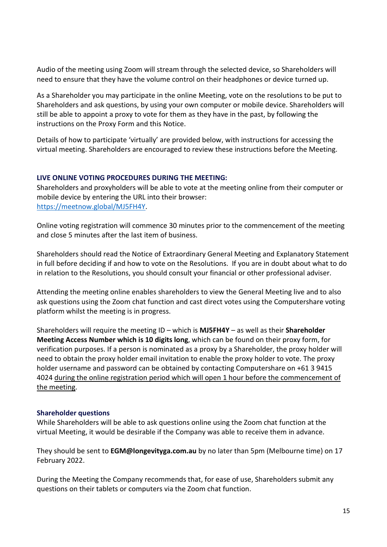Audio of the meeting using Zoom will stream through the selected device, so Shareholders will need to ensure that they have the volume control on their headphones or device turned up.

As a Shareholder you may participate in the online Meeting, vote on the resolutions to be put to Shareholders and ask questions, by using your own computer or mobile device. Shareholders will still be able to appoint a proxy to vote for them as they have in the past, by following the instructions on the Proxy Form and this Notice.

Details of how to participate 'virtually' are provided below, with instructions for accessing the virtual meeting. Shareholders are encouraged to review these instructions before the Meeting.

## **LIVE ONLINE VOTING PROCEDURES DURING THE MEETING:**

Shareholders and proxyholders will be able to vote at the meeting online from their computer or mobile device by entering the URL into their browser: [https://meetnow.global/MJ5FH4Y.](https://meetnow.global/MJ5FH4Y)

Online voting registration will commence 30 minutes prior to the commencement of the meeting and close 5 minutes after the last item of business.

Shareholders should read the Notice of Extraordinary General Meeting and Explanatory Statement in full before deciding if and how to vote on the Resolutions. If you are in doubt about what to do in relation to the Resolutions, you should consult your financial or other professional adviser.

Attending the meeting online enables shareholders to view the General Meeting live and to also ask questions using the Zoom chat function and cast direct votes using the Computershare voting platform whilst the meeting is in progress.

Shareholders will require the meeting ID – which is **MJ5FH4Y** – as well as their **Shareholder Meeting Access Number which is 10 digits long**, which can be found on their proxy form, for verification purposes. If a person is nominated as a proxy by a Shareholder, the proxy holder will need to obtain the proxy holder email invitation to enable the proxy holder to vote. The proxy holder username and password can be obtained by contacting Computershare on +61 3 9415 4024 during the online registration period which will open 1 hour before the commencement of the meeting.

## **Shareholder questions**

While Shareholders will be able to ask questions online using the Zoom chat function at the virtual Meeting, it would be desirable if the Company was able to receive them in advance.

They should be sent to **EGM@longevityga.com.au** by no later than 5pm (Melbourne time) on 17 February 2022.

During the Meeting the Company recommends that, for ease of use, Shareholders submit any questions on their tablets or computers via the Zoom chat function.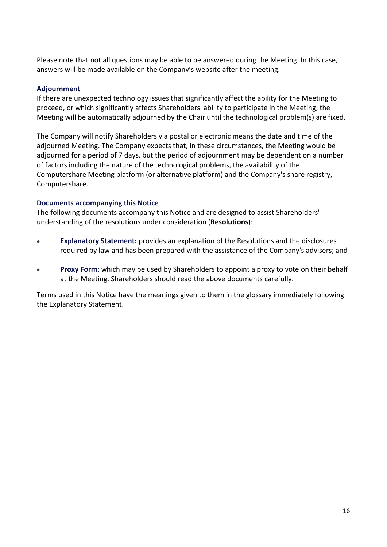Please note that not all questions may be able to be answered during the Meeting. In this case, answers will be made available on the Company's website after the meeting.

## **Adjournment**

If there are unexpected technology issues that significantly affect the ability for the Meeting to proceed, or which significantly affects Shareholders' ability to participate in the Meeting, the Meeting will be automatically adjourned by the Chair until the technological problem(s) are fixed.

The Company will notify Shareholders via postal or electronic means the date and time of the adjourned Meeting. The Company expects that, in these circumstances, the Meeting would be adjourned for a period of 7 days, but the period of adjournment may be dependent on a number of factors including the nature of the technological problems, the availability of the Computershare Meeting platform (or alternative platform) and the Company's share registry, Computershare.

## **Documents accompanying this Notice**

The following documents accompany this Notice and are designed to assist Shareholders' understanding of the resolutions under consideration (**Resolutions**):

- **Explanatory Statement:** provides an explanation of the Resolutions and the disclosures required by law and has been prepared with the assistance of the Company's advisers; and
- **Proxy Form:** which may be used by Shareholders to appoint a proxy to vote on their behalf at the Meeting. Shareholders should read the above documents carefully.

Terms used in this Notice have the meanings given to them in the glossary immediately following the Explanatory Statement.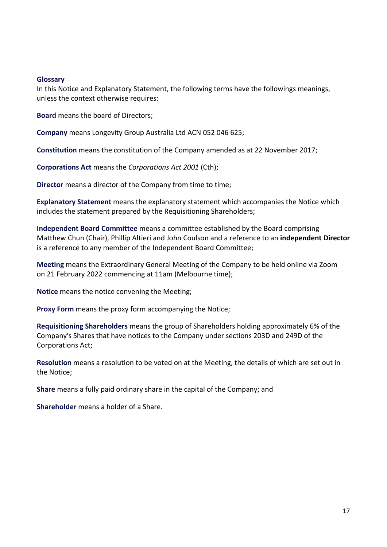#### **Glossary**

In this Notice and Explanatory Statement, the following terms have the followings meanings, unless the context otherwise requires:

**Board** means the board of Directors;

**Company** means Longevity Group Australia Ltd ACN 052 046 625;

**Constitution** means the constitution of the Company amended as at 22 November 2017;

**Corporations Act** means the *Corporations Act 2001* (Cth);

**Director** means a director of the Company from time to time;

**Explanatory Statement** means the explanatory statement which accompanies the Notice which includes the statement prepared by the Requisitioning Shareholders;

**Independent Board Committee** means a committee established by the Board comprising Matthew Chun (Chair), Phillip Altieri and John Coulson and a reference to an **independent Director** is a reference to any member of the Independent Board Committee;

**Meeting** means the Extraordinary General Meeting of the Company to be held online via Zoom on 21 February 2022 commencing at 11am (Melbourne time);

**Notice** means the notice convening the Meeting;

**Proxy Form** means the proxy form accompanying the Notice;

**Requisitioning Shareholders** means the group of Shareholders holding approximately 6% of the Company's Shares that have notices to the Company under sections 203D and 249D of the Corporations Act;

**Resolution** means a resolution to be voted on at the Meeting, the details of which are set out in the Notice;

**Share** means a fully paid ordinary share in the capital of the Company; and

**Shareholder** means a holder of a Share.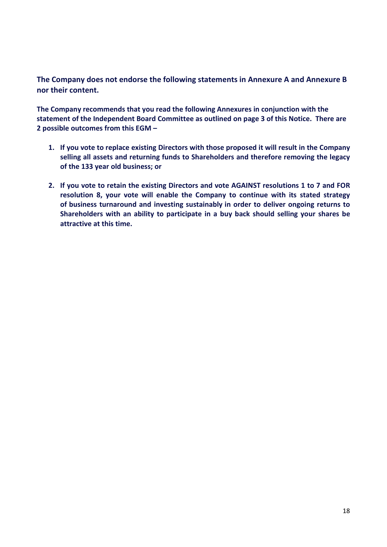**The Company does not endorse the following statements in Annexure A and Annexure B nor their content.**

**The Company recommends that you read the following Annexures in conjunction with the statement of the Independent Board Committee as outlined on page 3 of this Notice. There are 2 possible outcomes from this EGM –**

- **1. If you vote to replace existing Directors with those proposed it will result in the Company selling all assets and returning funds to Shareholders and therefore removing the legacy of the 133 year old business; or**
- **2. If you vote to retain the existing Directors and vote AGAINST resolutions 1 to 7 and FOR resolution 8, your vote will enable the Company to continue with its stated strategy of business turnaround and investing sustainably in order to deliver ongoing returns to Shareholders with an ability to participate in a buy back should selling your shares be attractive at this time.**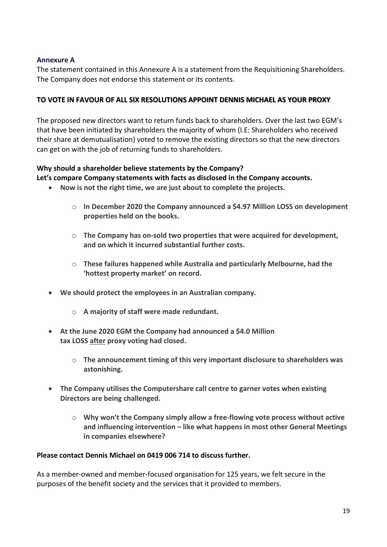## **Annexure A**

The statement contained in this Annexure A is a statement from the Requisitioning Shareholders. The Company does not endorse this statement or its contents.

## **TO VOTE IN FAVOUR OF ALL SIX RESOLUTIONS APPOINT DENNIS MICHAEL AS YOUR PROXY**

The proposed new directors want to return funds back to shareholders. Over the last two EGM's that have been initiated by shareholders the majority of whom (I.E: Shareholders who received their share at demutualisation) voted to remove the existing directors so that the new directors can get on with the job of returning funds to shareholders.

## **Why should a shareholder believe statements by the Company?**

## **Let's compare Company statements with facts as disclosed in the Company accounts.**

- **Now is not the right time, we are just about to complete the projects.**
	- o **In December 2020 the Company announced a \$4.97 Million LOSS on development properties held on the books.**
	- o **The Company has on-sold two properties that were acquired for development, and on which it incurred substantial further costs.**
	- o **These failures happened while Australia and particularly Melbourne, had the 'hottest property market' on record.**
- **We should protect the employees in an Australian company.**
	- o **A majority of staff were made redundant.**
- **At the June 2020 EGM the Company had announced a \$4.0 Million tax LOSS after proxy voting had closed.**
	- o **The announcement timing of this very important disclosure to shareholders was astonishing.**
- **The Company utilises the Computershare call centre to garner votes when existing Directors are being challenged.**
	- o **Why won't the Company simply allow a free-flowing vote process without active and influencing intervention – like what happens in most other General Meetings in companies elsewhere?**

## **Please contact Dennis Michael on 0419 006 714 to discuss further.**

As a member-owned and member-focused organisation for 125 years, we felt secure in the purposes of the benefit society and the services that it provided to members.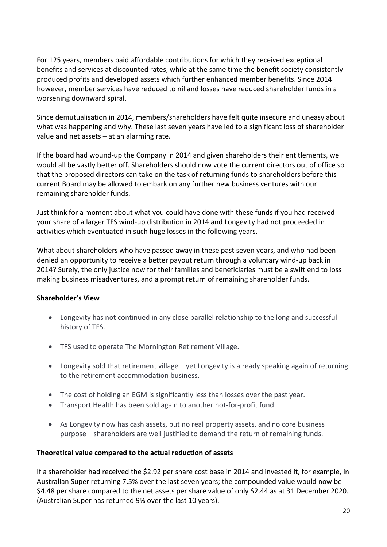For 125 years, members paid affordable contributions for which they received exceptional benefits and services at discounted rates, while at the same time the benefit society consistently produced profits and developed assets which further enhanced member benefits. Since 2014 however, member services have reduced to nil and losses have reduced shareholder funds in a worsening downward spiral.

Since demutualisation in 2014, members/shareholders have felt quite insecure and uneasy about what was happening and why. These last seven years have led to a significant loss of shareholder value and net assets – at an alarming rate.

If the board had wound-up the Company in 2014 and given shareholders their entitlements, we would all be vastly better off. Shareholders should now vote the current directors out of office so that the proposed directors can take on the task of returning funds to shareholders before this current Board may be allowed to embark on any further new business ventures with our remaining shareholder funds.

Just think for a moment about what you could have done with these funds if you had received your share of a larger TFS wind-up distribution in 2014 and Longevity had not proceeded in activities which eventuated in such huge losses in the following years.

What about shareholders who have passed away in these past seven years, and who had been denied an opportunity to receive a better payout return through a voluntary wind-up back in 2014? Surely, the only justice now for their families and beneficiaries must be a swift end to loss making business misadventures, and a prompt return of remaining shareholder funds.

# **Shareholder's View**

- Longevity has not continued in any close parallel relationship to the long and successful history of TFS.
- TFS used to operate The Mornington Retirement Village.
- Longevity sold that retirement village yet Longevity is already speaking again of returning to the retirement accommodation business.
- The cost of holding an EGM is significantly less than losses over the past year.
- Transport Health has been sold again to another not-for-profit fund.
- As Longevity now has cash assets, but no real property assets, and no core business purpose – shareholders are well justified to demand the return of remaining funds.

# **Theoretical value compared to the actual reduction of assets**

If a shareholder had received the \$2.92 per share cost base in 2014 and invested it, for example, in Australian Super returning 7.5% over the last seven years; the compounded value would now be \$4.48 per share compared to the net assets per share value of only \$2.44 as at 31 December 2020. (Australian Super has returned 9% over the last 10 years).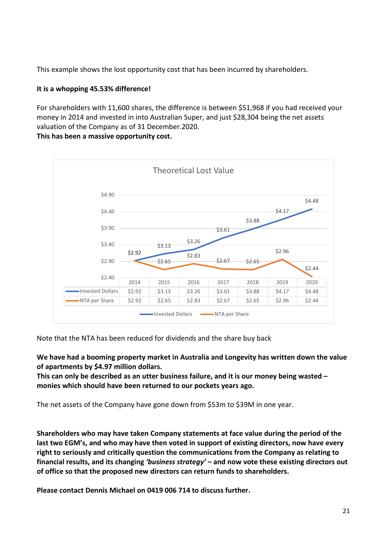This example shows the lost opportunity cost that has been incurred by shareholders.

# **It is a whopping 45.53% difference!**

For shareholders with 11,600 shares, the difference is between \$51,968 if you had received your money in 2014 and invested in into Australian Super, and just \$28,304 being the net assets valuation of the Company as of 31 December.2020.

**This has been a massive opportunity cost.**



Note that the NTA has been reduced for dividends and the share buy back

**We have had a booming property market in Australia and Longevity has written down the value of apartments by \$4.97 million dollars.** 

**This can only be described as an utter business failure, and it is our money being wasted – monies which should have been returned to our pockets years ago.**

The net assets of the Company have gone down from \$53m to \$39M in one year.

**Shareholders who may have taken Company statements at face value during the period of the last two EGM's, and who may have then voted in support of existing directors, now have every right to seriously and critically question the communications from the Company as relating to financial results, and its changing** *'business strategy'* **– and now vote these existing directors out of office so that the proposed new directors can return funds to shareholders.**

**Please contact Dennis Michael on 0419 006 714 to discuss further.**